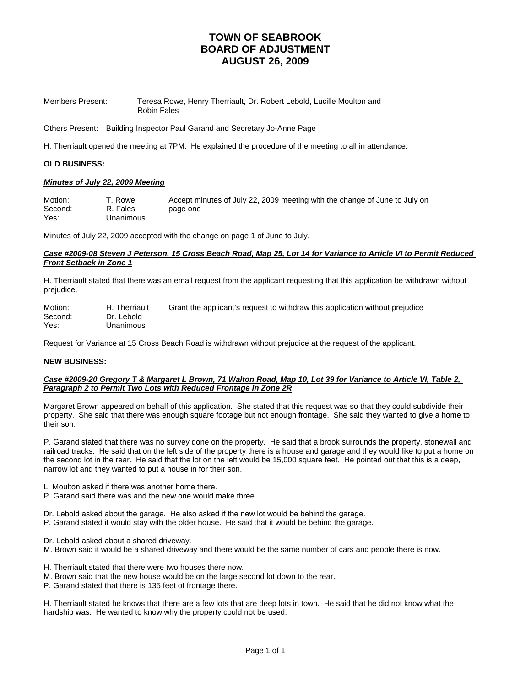| Members Present: | Teresa Rowe, Henry Therriault, Dr. Robert Lebold, Lucille Moulton and |
|------------------|-----------------------------------------------------------------------|
|                  | Robin Fales                                                           |

Others Present: Building Inspector Paul Garand and Secretary Jo-Anne Page

H. Therriault opened the meeting at 7PM. He explained the procedure of the meeting to all in attendance.

### **OLD BUSINESS:**

### *Minutes of July 22, 2009 Meeting*

| Motion: | T. Rowe   | Accept minutes of July 22, 2009 meeting with the change of June to July on |
|---------|-----------|----------------------------------------------------------------------------|
| Second: | R. Fales  | page one                                                                   |
| Yes:    | Unanimous |                                                                            |

Minutes of July 22, 2009 accepted with the change on page 1 of June to July.

#### *Case #2009-08 Steven J Peterson, 15 Cross Beach Road, Map 25, Lot 14 for Variance to Article VI to Permit Reduced Front Setback in Zone 1*

H. Therriault stated that there was an email request from the applicant requesting that this application be withdrawn without prejudice.

| Motion: | H. Therriault | Grant the applicant's request to withdraw this application without prejudice |
|---------|---------------|------------------------------------------------------------------------------|
| Second: | Dr. Lebold    |                                                                              |
| Yes:    | Unanimous     |                                                                              |

Request for Variance at 15 Cross Beach Road is withdrawn without prejudice at the request of the applicant.

### **NEW BUSINESS:**

### *Case #2009-20 Gregory T & Margaret L Brown, 71 Walton Road, Map 10, Lot 39 for Variance to Article VI, Table 2, Paragraph 2 to Permit Two Lots with Reduced Frontage in Zone 2R*

Margaret Brown appeared on behalf of this application. She stated that this request was so that they could subdivide their property. She said that there was enough square footage but not enough frontage. She said they wanted to give a home to their son.

P. Garand stated that there was no survey done on the property. He said that a brook surrounds the property, stonewall and railroad tracks. He said that on the left side of the property there is a house and garage and they would like to put a home on the second lot in the rear. He said that the lot on the left would be 15,000 square feet. He pointed out that this is a deep, narrow lot and they wanted to put a house in for their son.

L. Moulton asked if there was another home there.

- P. Garand said there was and the new one would make three.
- Dr. Lebold asked about the garage. He also asked if the new lot would be behind the garage.
- P. Garand stated it would stay with the older house. He said that it would be behind the garage.
- Dr. Lebold asked about a shared driveway.
- M. Brown said it would be a shared driveway and there would be the same number of cars and people there is now.
- H. Therriault stated that there were two houses there now.
- M. Brown said that the new house would be on the large second lot down to the rear.
- P. Garand stated that there is 135 feet of frontage there.

H. Therriault stated he knows that there are a few lots that are deep lots in town. He said that he did not know what the hardship was. He wanted to know why the property could not be used.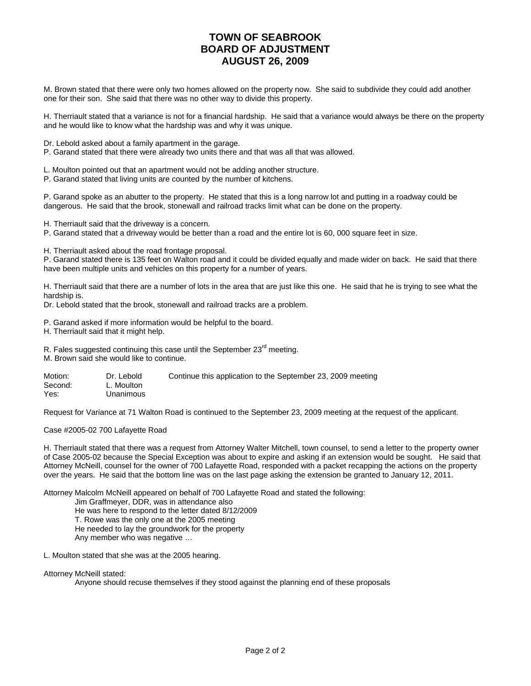M. Brown stated that there were only two homes allowed on the property now. She said to subdivide they could add another one for their son. She said that there was no other way to divide this property.

H. Therriault stated that a variance is not for a financial hardship. He said that a variance would always be there on the property and he would like to know what the hardship was and why it was unique.

Dr. Lebold asked about a family apartment in the garage.

P. Garand stated that there were already two units there and that was all that was allowed.

L. Moulton pointed out that an apartment would not be adding another structure.

P. Garand stated that living units are counted by the number of kitchens.

P. Garand spoke as an abutter to the property. He stated that this is a long narrow lot and putting in a roadway could be dangerous. He said that the brook, stonewall and railroad tracks limit what can be done on the property.

H. Therriault said that the driveway is a concern.

P. Garand stated that a driveway would be better than a road and the entire lot is 60, 000 square feet in size.

H. Therriault asked about the road frontage proposal.

P. Garand stated there is 135 feet on Walton road and it could be divided equally and made wider on back. He said that there have been multiple units and vehicles on this property for a number of years.

H. Therriault said that there are a number of lots in the area that are just like this one. He said that he is trying to see what the hardship is.

Dr. Lebold stated that the brook, stonewall and railroad tracks are a problem.

P. Garand asked if more information would be helpful to the board.

H. Therriault said that it might help.

R. Fales suggested continuing this case until the September 23<sup>rd</sup> meeting.

M. Brown said she would like to continue.

| Motion: | Dr. Lebold | Continue this application to the September 23, 2009 meeting |
|---------|------------|-------------------------------------------------------------|
| Second: | L. Moulton |                                                             |
| Yes:    | Unanimous  |                                                             |

Request for Variance at 71 Walton Road is continued to the September 23, 2009 meeting at the request of the applicant.

Case #2005-02 700 Lafayette Road

H. Therriault stated that there was a request from Attorney Walter Mitchell, town counsel, to send a letter to the property owner of Case 2005-02 because the Special Exception was about to expire and asking if an extension would be sought. He said that Attorney McNeill, counsel for the owner of 700 Lafayette Road, responded with a packet recapping the actions on the property over the years. He said that the bottom line was on the last page asking the extension be granted to January 12, 2011.

Attorney Malcolm McNeill appeared on behalf of 700 Lafayette Road and stated the following:

Jim Graffmeyer, DDR, was in attendance also

He was here to respond to the letter dated 8/12/2009

T. Rowe was the only one at the 2005 meeting

He needed to lay the groundwork for the property

Any member who was negative …

L. Moulton stated that she was at the 2005 hearing.

Attorney McNeill stated:

Anyone should recuse themselves if they stood against the planning end of these proposals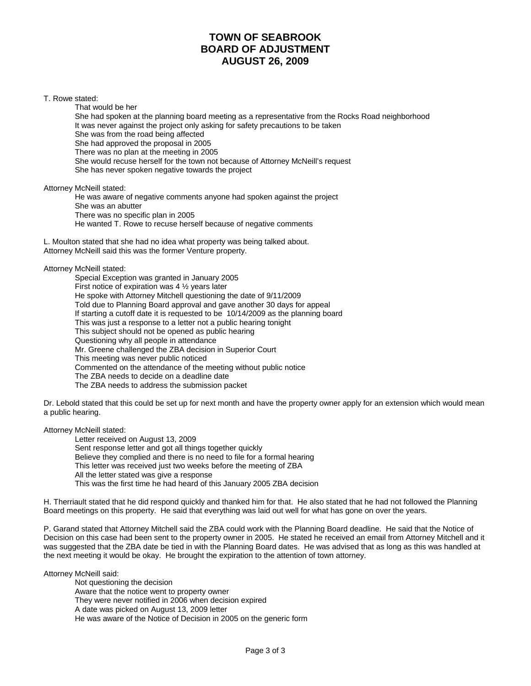#### T. Rowe stated:

That would be her She had spoken at the planning board meeting as a representative from the Rocks Road neighborhood It was never against the project only asking for safety precautions to be taken She was from the road being affected She had approved the proposal in 2005 There was no plan at the meeting in 2005 She would recuse herself for the town not because of Attorney McNeill's request She has never spoken negative towards the project

Attorney McNeill stated:

 He was aware of negative comments anyone had spoken against the project She was an abutter There was no specific plan in 2005 He wanted T. Rowe to recuse herself because of negative comments

L. Moulton stated that she had no idea what property was being talked about. Attorney McNeill said this was the former Venture property.

Attorney McNeill stated:

 Special Exception was granted in January 2005 First notice of expiration was 4 ½ years later He spoke with Attorney Mitchell questioning the date of 9/11/2009 Told due to Planning Board approval and gave another 30 days for appeal If starting a cutoff date it is requested to be 10/14/2009 as the planning board This was just a response to a letter not a public hearing tonight This subject should not be opened as public hearing Questioning why all people in attendance Mr. Greene challenged the ZBA decision in Superior Court This meeting was never public noticed Commented on the attendance of the meeting without public notice The ZBA needs to decide on a deadline date The ZBA needs to address the submission packet

Dr. Lebold stated that this could be set up for next month and have the property owner apply for an extension which would mean a public hearing.

Attorney McNeill stated:

 Letter received on August 13, 2009 Sent response letter and got all things together quickly Believe they complied and there is no need to file for a formal hearing This letter was received just two weeks before the meeting of ZBA All the letter stated was give a response This was the first time he had heard of this January 2005 ZBA decision

H. Therriault stated that he did respond quickly and thanked him for that. He also stated that he had not followed the Planning Board meetings on this property. He said that everything was laid out well for what has gone on over the years.

P. Garand stated that Attorney Mitchell said the ZBA could work with the Planning Board deadline. He said that the Notice of Decision on this case had been sent to the property owner in 2005. He stated he received an email from Attorney Mitchell and it was suggested that the ZBA date be tied in with the Planning Board dates. He was advised that as long as this was handled at the next meeting it would be okay. He brought the expiration to the attention of town attorney.

Attorney McNeill said:

 Not questioning the decision Aware that the notice went to property owner They were never notified in 2006 when decision expired A date was picked on August 13, 2009 letter He was aware of the Notice of Decision in 2005 on the generic form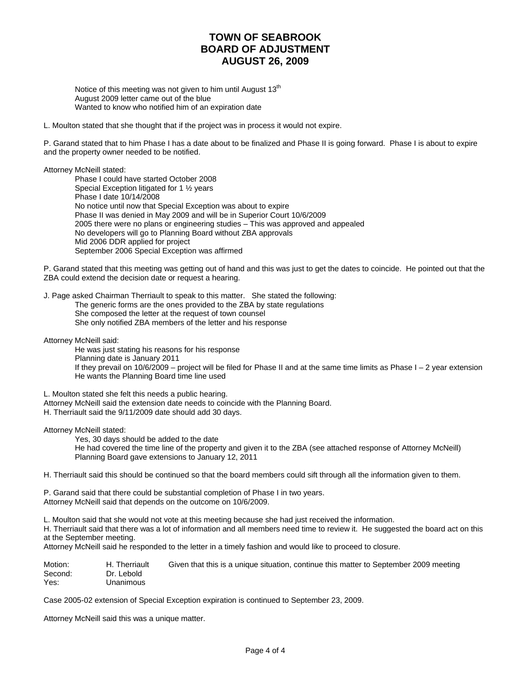Notice of this meeting was not given to him until August  $13<sup>th</sup>$  August 2009 letter came out of the blue Wanted to know who notified him of an expiration date

L. Moulton stated that she thought that if the project was in process it would not expire.

P. Garand stated that to him Phase I has a date about to be finalized and Phase II is going forward. Phase I is about to expire and the property owner needed to be notified.

Attorney McNeill stated: Phase I could have started October 2008

 Special Exception litigated for 1 ½ years Phase I date 10/14/2008 No notice until now that Special Exception was about to expire Phase II was denied in May 2009 and will be in Superior Court 10/6/2009 2005 there were no plans or engineering studies – This was approved and appealed No developers will go to Planning Board without ZBA approvals Mid 2006 DDR applied for project September 2006 Special Exception was affirmed

P. Garand stated that this meeting was getting out of hand and this was just to get the dates to coincide. He pointed out that the ZBA could extend the decision date or request a hearing.

J. Page asked Chairman Therriault to speak to this matter. She stated the following:

 The generic forms are the ones provided to the ZBA by state regulations She composed the letter at the request of town counsel She only notified ZBA members of the letter and his response

Attorney McNeill said:

 He was just stating his reasons for his response Planning date is January 2011 If they prevail on 10/6/2009 – project will be filed for Phase II and at the same time limits as Phase I – 2 year extension He wants the Planning Board time line used

L. Moulton stated she felt this needs a public hearing. Attorney McNeill said the extension date needs to coincide with the Planning Board. H. Therriault said the 9/11/2009 date should add 30 days.

Attorney McNeill stated:

 Yes, 30 days should be added to the date He had covered the time line of the property and given it to the ZBA (see attached response of Attorney McNeill) Planning Board gave extensions to January 12, 2011

H. Therriault said this should be continued so that the board members could sift through all the information given to them.

P. Garand said that there could be substantial completion of Phase I in two years. Attorney McNeill said that depends on the outcome on 10/6/2009.

L. Moulton said that she would not vote at this meeting because she had just received the information.

H. Therriault said that there was a lot of information and all members need time to review it. He suggested the board act on this at the September meeting.

Attorney McNeill said he responded to the letter in a timely fashion and would like to proceed to closure.

| Motion: | H. Therriault | Given that this is a unique situation, continue this matter to September 2009 meeting |
|---------|---------------|---------------------------------------------------------------------------------------|
| Second: | Dr. Lebold    |                                                                                       |
| Yes:    | Unanimous     |                                                                                       |

Case 2005-02 extension of Special Exception expiration is continued to September 23, 2009.

Attorney McNeill said this was a unique matter.